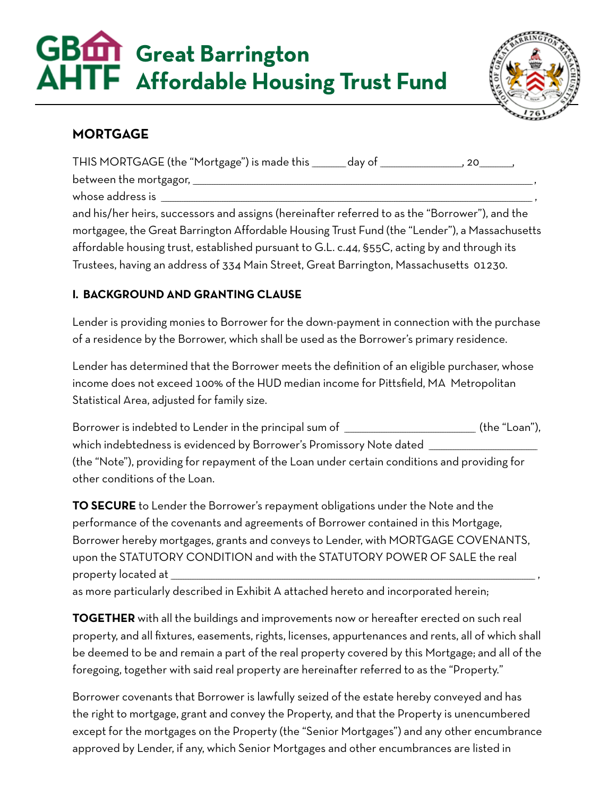# **GBm** Great Barrington **Affordable Housing Trust Fund**



## **MORTGAGE**

| THIS MORTGAGE (the "Mortgage") is made this<br>day of                                          | 20. |
|------------------------------------------------------------------------------------------------|-----|
| between the mortgagor, _____                                                                   |     |
| whose address is                                                                               |     |
| and his/her heirs, successors and assigns (hereinafter referred to as the "Borrower"), and the |     |

mortgagee, the Great Barrington Affordable Housing Trust Fund (the "Lender"), a Massachusetts affordable housing trust, established pursuant to G.L. c.44, §55C, acting by and through its Trustees, having an address of 334 Main Street, Great Barrington, Massachusetts 01230.

## **I. BACKGROUND AND GRANTING CLAUSE**

Lender is providing monies to Borrower for the down-payment in connection with the purchase of a residence by the Borrower, which shall be used as the Borrower's primary residence.

Lender has determined that the Borrower meets the definition of an eligible purchaser, whose income does not exceed 100% of the HUD median income for Pittsfield, MA Metropolitan Statistical Area, adjusted for family size.

Borrower is indebted to Lender in the principal sum of  $\blacksquare$  (the "Loan"), which indebtedness is evidenced by Borrower's Promissory Note dated \_\_\_\_\_\_\_\_\_\_\_\_ (the "Note"), providing for repayment of the Loan under certain conditions and providing for other conditions of the Loan.

**TO SECURE** to Lender the Borrower's repayment obligations under the Note and the performance of the covenants and agreements of Borrower contained in this Mortgage, Borrower hereby mortgages, grants and conveys to Lender, with MORTGAGE COVENANTS, upon the STATUTORY CONDITION and with the STATUTORY POWER OF SALE the real property located at \_\_

as more particularly described in Exhibit A attached hereto and incorporated herein;

**TOGETHER** with all the buildings and improvements now or hereafter erected on such real property, and all fixtures, easements, rights, licenses, appurtenances and rents, all of which shall be deemed to be and remain a part of the real property covered by this Mortgage; and all of the foregoing, together with said real property are hereinafter referred to as the "Property."

Borrower covenants that Borrower is lawfully seized of the estate hereby conveyed and has the right to mortgage, grant and convey the Property, and that the Property is unencumbered except for the mortgages on the Property (the "Senior Mortgages") and any other encumbrance approved by Lender, if any, which Senior Mortgages and other encumbrances are listed in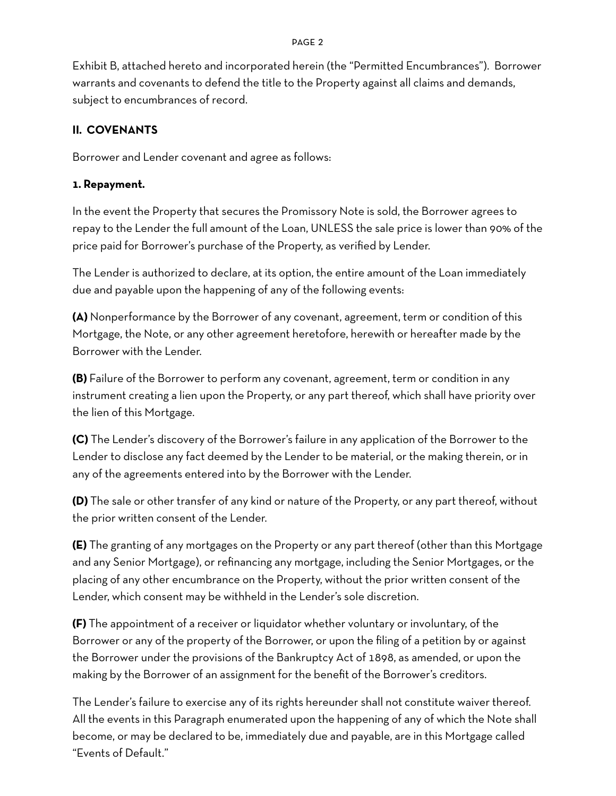#### page 2

Exhibit B, attached hereto and incorporated herein (the "Permitted Encumbrances"). Borrower warrants and covenants to defend the title to the Property against all claims and demands, subject to encumbrances of record.

## **II. COVENANTS**

Borrower and Lender covenant and agree as follows:

## **1. Repayment.**

In the event the Property that secures the Promissory Note is sold, the Borrower agrees to repay to the Lender the full amount of the Loan, UNLESS the sale price is lower than 90% of the price paid for Borrower's purchase of the Property, as verified by Lender.

The Lender is authorized to declare, at its option, the entire amount of the Loan immediately due and payable upon the happening of any of the following events:

**(A)** Nonperformance by the Borrower of any covenant, agreement, term or condition of this Mortgage, the Note, or any other agreement heretofore, herewith or hereafter made by the Borrower with the Lender.

**(B)** Failure of the Borrower to perform any covenant, agreement, term or condition in any instrument creating a lien upon the Property, or any part thereof, which shall have priority over the lien of this Mortgage.

**(C)** The Lender's discovery of the Borrower's failure in any application of the Borrower to the Lender to disclose any fact deemed by the Lender to be material, or the making therein, or in any of the agreements entered into by the Borrower with the Lender.

**(D)** The sale or other transfer of any kind or nature of the Property, or any part thereof, without the prior written consent of the Lender.

**(E)** The granting of any mortgages on the Property or any part thereof (other than this Mortgage and any Senior Mortgage), or refinancing any mortgage, including the Senior Mortgages, or the placing of any other encumbrance on the Property, without the prior written consent of the Lender, which consent may be withheld in the Lender's sole discretion.

**(F)** The appointment of a receiver or liquidator whether voluntary or involuntary, of the Borrower or any of the property of the Borrower, or upon the filing of a petition by or against the Borrower under the provisions of the Bankruptcy Act of 1898, as amended, or upon the making by the Borrower of an assignment for the benefit of the Borrower's creditors.

The Lender's failure to exercise any of its rights hereunder shall not constitute waiver thereof. All the events in this Paragraph enumerated upon the happening of any of which the Note shall become, or may be declared to be, immediately due and payable, are in this Mortgage called "Events of Default."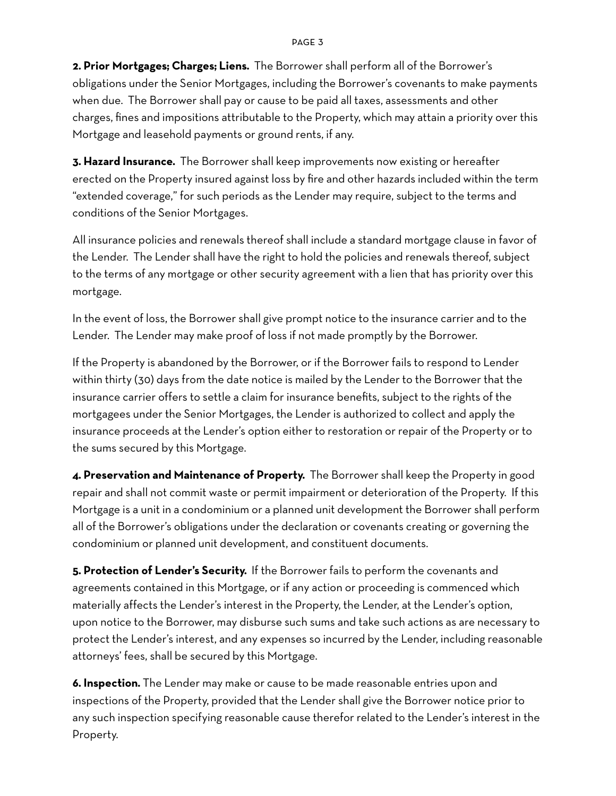**2. Prior Mortgages; Charges; Liens.** The Borrower shall perform all of the Borrower's obligations under the Senior Mortgages, including the Borrower's covenants to make payments when due. The Borrower shall pay or cause to be paid all taxes, assessments and other charges, fines and impositions attributable to the Property, which may attain a priority over this Mortgage and leasehold payments or ground rents, if any.

**3. Hazard Insurance.** The Borrower shall keep improvements now existing or hereafter erected on the Property insured against loss by fire and other hazards included within the term "extended coverage," for such periods as the Lender may require, subject to the terms and conditions of the Senior Mortgages.

All insurance policies and renewals thereof shall include a standard mortgage clause in favor of the Lender. The Lender shall have the right to hold the policies and renewals thereof, subject to the terms of any mortgage or other security agreement with a lien that has priority over this mortgage.

In the event of loss, the Borrower shall give prompt notice to the insurance carrier and to the Lender. The Lender may make proof of loss if not made promptly by the Borrower.

If the Property is abandoned by the Borrower, or if the Borrower fails to respond to Lender within thirty (30) days from the date notice is mailed by the Lender to the Borrower that the insurance carrier offers to settle a claim for insurance benefits, subject to the rights of the mortgagees under the Senior Mortgages, the Lender is authorized to collect and apply the insurance proceeds at the Lender's option either to restoration or repair of the Property or to the sums secured by this Mortgage.

**4. Preservation and Maintenance of Property.** The Borrower shall keep the Property in good repair and shall not commit waste or permit impairment or deterioration of the Property. If this Mortgage is a unit in a condominium or a planned unit development the Borrower shall perform all of the Borrower's obligations under the declaration or covenants creating or governing the condominium or planned unit development, and constituent documents.

**5. Protection of Lender's Security.** If the Borrower fails to perform the covenants and agreements contained in this Mortgage, or if any action or proceeding is commenced which materially affects the Lender's interest in the Property, the Lender, at the Lender's option, upon notice to the Borrower, may disburse such sums and take such actions as are necessary to protect the Lender's interest, and any expenses so incurred by the Lender, including reasonable attorneys' fees, shall be secured by this Mortgage.

**6. Inspection.** The Lender may make or cause to be made reasonable entries upon and inspections of the Property, provided that the Lender shall give the Borrower notice prior to any such inspection specifying reasonable cause therefor related to the Lender's interest in the Property.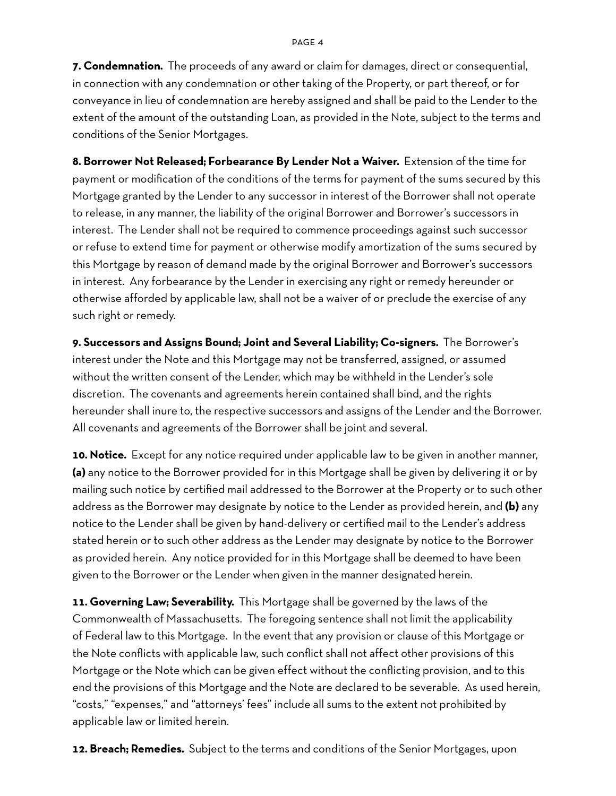**7. Condemnation.** The proceeds of any award or claim for damages, direct or consequential, in connection with any condemnation or other taking of the Property, or part thereof, or for conveyance in lieu of condemnation are hereby assigned and shall be paid to the Lender to the extent of the amount of the outstanding Loan, as provided in the Note, subject to the terms and conditions of the Senior Mortgages.

**8. Borrower Not Released; Forbearance By Lender Not a Waiver.** Extension of the time for payment or modification of the conditions of the terms for payment of the sums secured by this Mortgage granted by the Lender to any successor in interest of the Borrower shall not operate to release, in any manner, the liability of the original Borrower and Borrower's successors in interest. The Lender shall not be required to commence proceedings against such successor or refuse to extend time for payment or otherwise modify amortization of the sums secured by this Mortgage by reason of demand made by the original Borrower and Borrower's successors in interest. Any forbearance by the Lender in exercising any right or remedy hereunder or otherwise afforded by applicable law, shall not be a waiver of or preclude the exercise of any such right or remedy.

**9. Successors and Assigns Bound; Joint and Several Liability; Co-signers.** The Borrower's interest under the Note and this Mortgage may not be transferred, assigned, or assumed without the written consent of the Lender, which may be withheld in the Lender's sole discretion. The covenants and agreements herein contained shall bind, and the rights hereunder shall inure to, the respective successors and assigns of the Lender and the Borrower. All covenants and agreements of the Borrower shall be joint and several.

10. Notice. Except for any notice required under applicable law to be given in another manner, **(a)** any notice to the Borrower provided for in this Mortgage shall be given by delivering it or by mailing such notice by certified mail addressed to the Borrower at the Property or to such other address as the Borrower may designate by notice to the Lender as provided herein, and **(b)** any notice to the Lender shall be given by hand-delivery or certified mail to the Lender's address stated herein or to such other address as the Lender may designate by notice to the Borrower as provided herein. Any notice provided for in this Mortgage shall be deemed to have been given to the Borrower or the Lender when given in the manner designated herein.

**11. Governing Law; Severability.** This Mortgage shall be governed by the laws of the Commonwealth of Massachusetts. The foregoing sentence shall not limit the applicability of Federal law to this Mortgage. In the event that any provision or clause of this Mortgage or the Note conflicts with applicable law, such conflict shall not affect other provisions of this Mortgage or the Note which can be given effect without the conflicting provision, and to this end the provisions of this Mortgage and the Note are declared to be severable. As used herein, "costs," "expenses," and "attorneys' fees" include all sums to the extent not prohibited by applicable law or limited herein.

**12. Breach; Remedies.** Subject to the terms and conditions of the Senior Mortgages, upon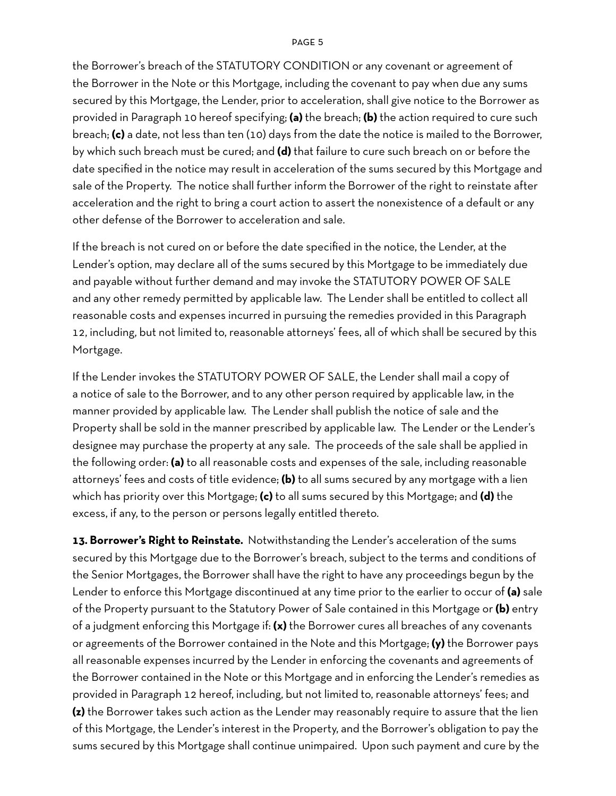#### page 5

the Borrower's breach of the STATUTORY CONDITION or any covenant or agreement of the Borrower in the Note or this Mortgage, including the covenant to pay when due any sums secured by this Mortgage, the Lender, prior to acceleration, shall give notice to the Borrower as provided in Paragraph 10 hereof specifying; **(a)** the breach; **(b)** the action required to cure such breach; **(c)** a date, not less than ten (10) days from the date the notice is mailed to the Borrower, by which such breach must be cured; and **(d)** that failure to cure such breach on or before the date specified in the notice may result in acceleration of the sums secured by this Mortgage and sale of the Property. The notice shall further inform the Borrower of the right to reinstate after acceleration and the right to bring a court action to assert the nonexistence of a default or any other defense of the Borrower to acceleration and sale.

If the breach is not cured on or before the date specified in the notice, the Lender, at the Lender's option, may declare all of the sums secured by this Mortgage to be immediately due and payable without further demand and may invoke the STATUTORY POWER OF SALE and any other remedy permitted by applicable law. The Lender shall be entitled to collect all reasonable costs and expenses incurred in pursuing the remedies provided in this Paragraph 12, including, but not limited to, reasonable attorneys' fees, all of which shall be secured by this Mortgage.

If the Lender invokes the STATUTORY POWER OF SALE, the Lender shall mail a copy of a notice of sale to the Borrower, and to any other person required by applicable law, in the manner provided by applicable law. The Lender shall publish the notice of sale and the Property shall be sold in the manner prescribed by applicable law. The Lender or the Lender's designee may purchase the property at any sale. The proceeds of the sale shall be applied in the following order: **(a)** to all reasonable costs and expenses of the sale, including reasonable attorneys' fees and costs of title evidence; **(b)** to all sums secured by any mortgage with a lien which has priority over this Mortgage; **(c)** to all sums secured by this Mortgage; and **(d)** the excess, if any, to the person or persons legally entitled thereto.

**13. Borrower's Right to Reinstate.** Notwithstanding the Lender's acceleration of the sums secured by this Mortgage due to the Borrower's breach, subject to the terms and conditions of the Senior Mortgages, the Borrower shall have the right to have any proceedings begun by the Lender to enforce this Mortgage discontinued at any time prior to the earlier to occur of **(a)** sale of the Property pursuant to the Statutory Power of Sale contained in this Mortgage or **(b)** entry of a judgment enforcing this Mortgage if: **(x)** the Borrower cures all breaches of any covenants or agreements of the Borrower contained in the Note and this Mortgage; **(y)** the Borrower pays all reasonable expenses incurred by the Lender in enforcing the covenants and agreements of the Borrower contained in the Note or this Mortgage and in enforcing the Lender's remedies as provided in Paragraph 12 hereof, including, but not limited to, reasonable attorneys' fees; and **(z)** the Borrower takes such action as the Lender may reasonably require to assure that the lien of this Mortgage, the Lender's interest in the Property, and the Borrower's obligation to pay the sums secured by this Mortgage shall continue unimpaired. Upon such payment and cure by the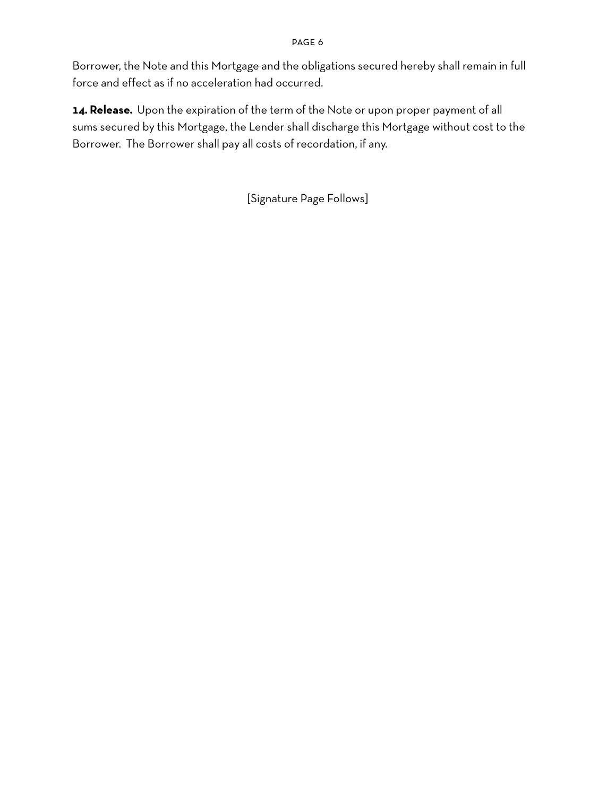Borrower, the Note and this Mortgage and the obligations secured hereby shall remain in full force and effect as if no acceleration had occurred.

14. Release. Upon the expiration of the term of the Note or upon proper payment of all sums secured by this Mortgage, the Lender shall discharge this Mortgage without cost to the Borrower. The Borrower shall pay all costs of recordation, if any.

[Signature Page Follows]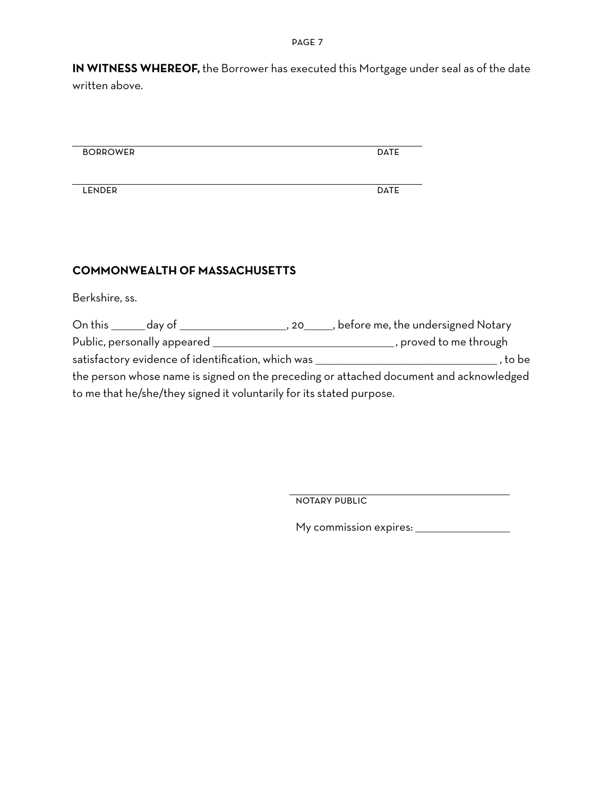page 7

**IN WITNESS WHEREOF,** the Borrower has executed this Mortgage under seal as of the date written above.

| <b>DATE</b> |
|-------------|
|             |
|             |
|             |
|             |

LENDER DATE

## **COMMONWEALTH OF MASSACHUSETTS**

Berkshire, ss.

| On this                     | day of                                                                                 | . 20 | , before me, the undersigned Notary |       |
|-----------------------------|----------------------------------------------------------------------------------------|------|-------------------------------------|-------|
| Public, personally appeared |                                                                                        |      | , proved to me through              |       |
|                             | satisfactory evidence of identification, which was                                     |      |                                     | to be |
|                             | the person whose name is signed on the preceding or attached document and acknowledged |      |                                     |       |
|                             | to me that he/she/they signed it voluntarily for its stated purpose.                   |      |                                     |       |

notary public

My commission expires: \_\_\_\_\_\_\_\_\_\_\_\_\_\_\_\_\_\_\_\_\_\_\_\_\_\_\_\_\_\_\_\_\_\_\_\_\_\_\_\_\_\_\_\_\_\_\_\_\_\_\_\_\_\_